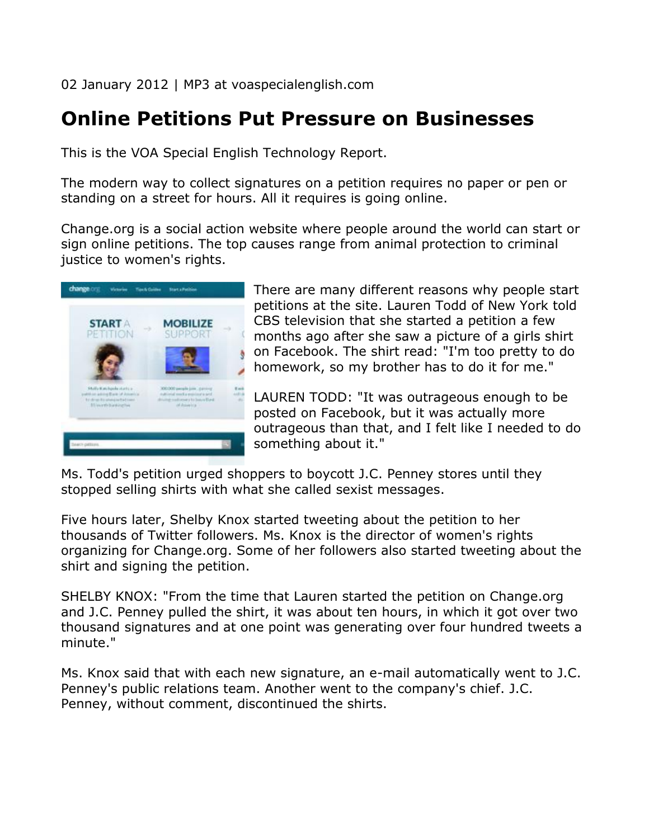02 January 2012 | MP3 at voaspecialenglish.com

## **Online Petitions Put Pressure on Businesses**

This is the VOA Special English Technology Report.

The modern way to collect signatures on a petition requires no paper or pen or standing on a street for hours. All it requires is going online.

Change.org is a social action website where people around the world can start or sign online petitions. The top causes range from animal protection to criminal justice to women's rights.



There are many different reasons why people start petitions at the site. Lauren Todd of New York told CBS television that she started a petition a few months ago after she saw a picture of a girls shirt on Facebook. The shirt read: "I'm too pretty to do homework, so my brother has to do it for me."

LAUREN TODD: "It was outrageous enough to be posted on Facebook, but it was actually more outrageous than that, and I felt like I needed to do something about it."

Ms. Todd's petition urged shoppers to boycott J.C. Penney stores until they stopped selling shirts with what she called sexist messages.

Five hours later, Shelby Knox started tweeting about the petition to her thousands of Twitter followers. Ms. Knox is the director of women's rights organizing for Change.org. Some of her followers also started tweeting about the shirt and signing the petition.

SHELBY KNOX: "From the time that Lauren started the petition on Change.org and J.C. Penney pulled the shirt, it was about ten hours, in which it got over two thousand signatures and at one point was generating over four hundred tweets a minute."

Ms. Knox said that with each new signature, an e-mail automatically went to J.C. Penney's public relations team. Another went to the company's chief. J.C. Penney, without comment, discontinued the shirts.